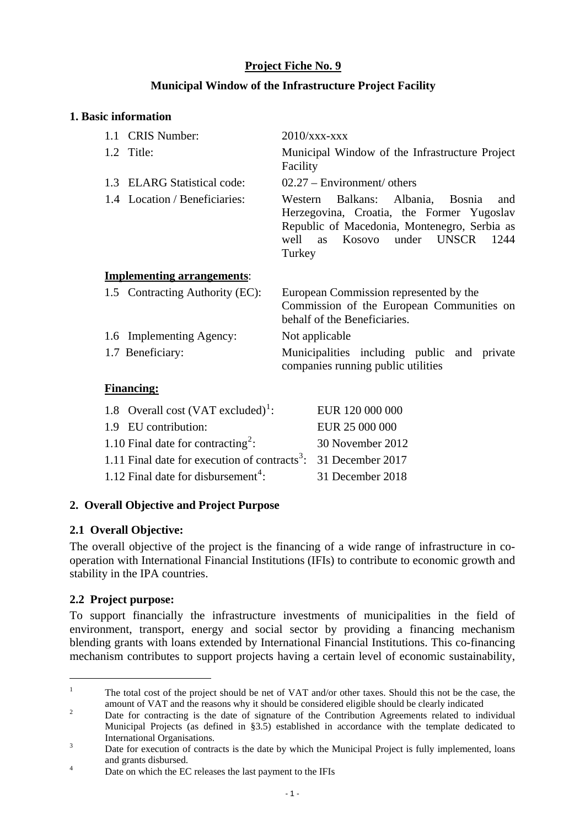# **Project Fiche No. 9**

# **Municipal Window of the Infrastructure Project Facility**

#### **1. Basic information**

| 1.1 CRIS Number:                  | $2010/xxx$ - $xxx$                                                                                                                                                                                |
|-----------------------------------|---------------------------------------------------------------------------------------------------------------------------------------------------------------------------------------------------|
| 1.2 Title:                        | Municipal Window of the Infrastructure Project<br>Facility                                                                                                                                        |
| 1.3 ELARG Statistical code:       | $02.27 - Environment/ others$                                                                                                                                                                     |
| 1.4 Location / Beneficiaries:     | Balkans: Albania, Bosnia<br>Western<br>and<br>Herzegovina, Croatia, the Former Yugoslav<br>Republic of Macedonia, Montenegro, Serbia as<br>well as Kosovo under<br><b>UNSCR</b><br>1244<br>Turkey |
| <b>Implementing arrangements:</b> |                                                                                                                                                                                                   |
| 1.5 Contracting Authority (EC):   | European Commission represented by the<br>Commission of the European Communities on<br>behalf of the Beneficiaries.                                                                               |
| 1.6 Implementing Agency:          | Not applicable                                                                                                                                                                                    |
|                                   |                                                                                                                                                                                                   |
| 1.7 Beneficiary:                  | Municipalities including public and private<br>companies running public utilities                                                                                                                 |

#### **Financing:**

| 1.8 Overall cost $(VAT excluded)^1$ :                                      | EUR 120 000 000  |
|----------------------------------------------------------------------------|------------------|
| 1.9 EU contribution:                                                       | EUR 25 000 000   |
| 1.10 Final date for contracting <sup>2</sup> :                             | 30 November 2012 |
| 1.11 Final date for execution of contracts <sup>3</sup> : 31 December 2017 |                  |
| 1.12 Final date for disbursement <sup>4</sup> :                            | 31 December 2018 |

# **2. Overall Objective and Project Purpose**

# **2.1 Overall Objective:**

The overall objective of the project is the financing of a wide range of infrastructure in cooperation with International Financial Institutions (IFIs) to contribute to economic growth and stability in the IPA countries.

#### **2.2 Project purpose:**

<u>.</u>

To support financially the infrastructure investments of municipalities in the field of environment, transport, energy and social sector by providing a financing mechanism blending grants with loans extended by International Financial Institutions. This co-financing mechanism contributes to support projects having a certain level of economic sustainability,

<span id="page-0-0"></span><sup>1</sup> The total cost of the project should be net of VAT and/or other taxes. Should this not be the case, the amount of VAT and the reasons why it should be considered eligible should be clearly indicated 2

<span id="page-0-1"></span>Date for contracting is the date of signature of the Contribution Agreements related to individual Municipal Projects (as defined in §3.5) established in accordance with the template dedicated to International Organisations.

<span id="page-0-2"></span>Date for execution of contracts is the date by which the Municipal Project is fully implemented, loans and grants disbursed.

<span id="page-0-3"></span>Date on which the EC releases the last payment to the IFIs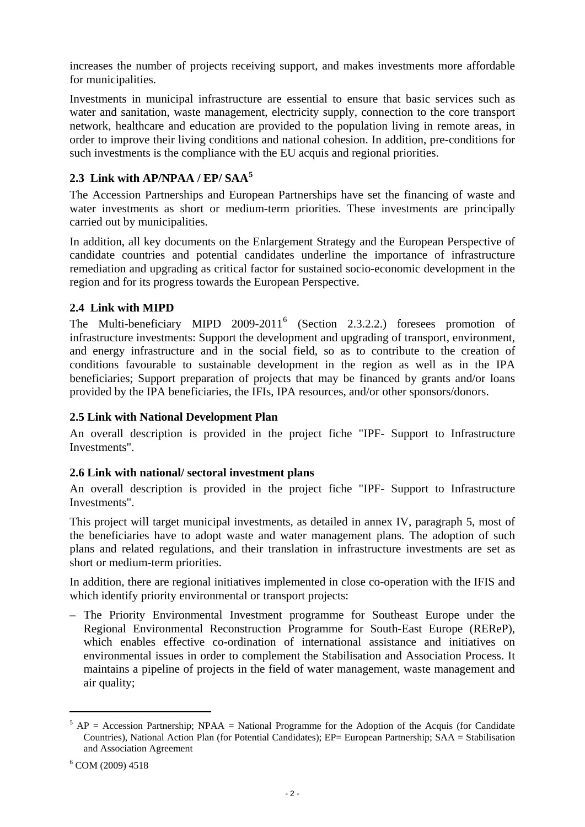increases the number of projects receiving support, and makes investments more affordable for municipalities.

Investments in municipal infrastructure are essential to ensure that basic services such as water and sanitation, waste management, electricity supply, connection to the core transport network, healthcare and education are provided to the population living in remote areas, in order to improve their living conditions and national cohesion. In addition, pre-conditions for such investments is the compliance with the EU acquis and regional priorities.

# **[5](#page-1-0) 2.3 Link with AP/NPAA / EP/ SAA**

The Accession Partnerships and European Partnerships have set the financing of waste and water investments as short or medium-term priorities. These investments are principally carried out by municipalities.

In addition, all key documents on the Enlargement Strategy and the European Perspective of candidate countries and potential candidates underline the importance of infrastructure remediation and upgrading as critical factor for sustained socio-economic development in the region and for its progress towards the European Perspective.

# **2.4 Link with MIPD**

The Multi-beneficiary MIPD  $2009-2011^6$  $2009-2011^6$  (Section 2.3.2.2.) foresees promotion of infrastructure investments: Support the development and upgrading of transport, environment, and energy infrastructure and in the social field, so as to contribute to the creation of conditions favourable to sustainable development in the region as well as in the IPA beneficiaries; Support preparation of projects that may be financed by grants and/or loans provided by the IPA beneficiaries, the IFIs, IPA resources, and/or other sponsors/donors.

# **2.5 Link with National Development Plan**

An overall description is provided in the project fiche "IPF- Support to Infrastructure Investments".

# **2.6 Link with national/ sectoral investment plans**

An overall description is provided in the project fiche "IPF- Support to Infrastructure Investments".

This project will target municipal investments, as detailed in annex IV, paragraph 5, most of the beneficiaries have to adopt waste and water management plans. The adoption of such plans and related regulations, and their translation in infrastructure investments are set as short or medium-term priorities.

In addition, there are regional initiatives implemented in close co-operation with the IFIS and which identify priority environmental or transport projects:

– The Priority Environmental Investment programme for Southeast Europe under the Regional Environmental Reconstruction Programme for South-East Europe (REReP), which enables effective co-ordination of international assistance and initiatives on environmental issues in order to complement the Stabilisation and Association Process. It maintains a pipeline of projects in the field of water management, waste management and air quality;

1

 $5 AP = Accession$  Partnership; NPAA = National Programme for the Adoption of the Acquis (for Candidate Countries), National Action Plan (for Potential Candidates); EP= European Partnership; SAA = Stabilisation and Association Agreement

<span id="page-1-1"></span><span id="page-1-0"></span><sup>6</sup> COM (2009) 4518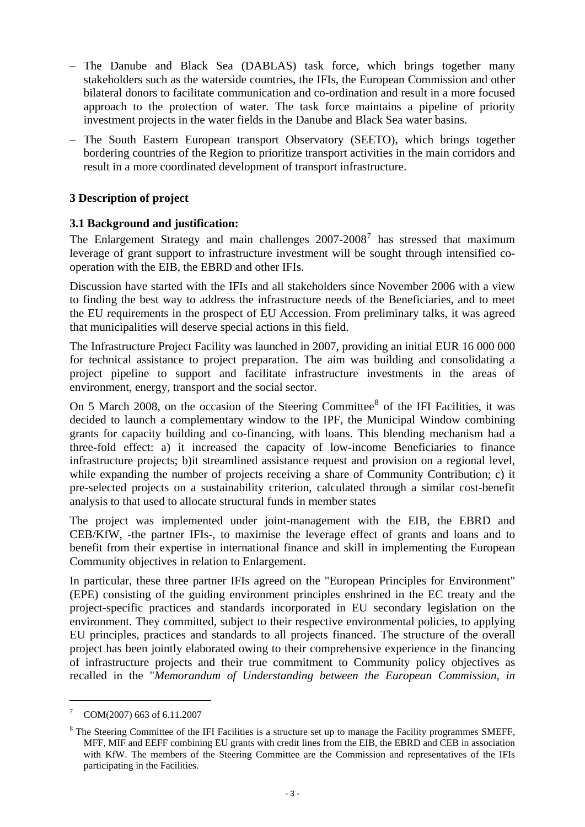- The Danube and Black Sea (DABLAS) task force, which brings together many stakeholders such as the waterside countries, the IFIs, the European Commission and other bilateral donors to facilitate communication and co-ordination and result in a more focused approach to the protection of water. The task force maintains a pipeline of priority investment projects in the water fields in the Danube and Black Sea water basins.
- The South Eastern European transport Observatory (SEETO), which brings together bordering countries of the Region to prioritize transport activities in the main corridors and result in a more coordinated development of transport infrastructure.

#### **3 Description of project**

#### **3.1 Background and justification:**

The Enlargement Strategy and main challenges  $2007-2008<sup>7</sup>$  $2007-2008<sup>7</sup>$  $2007-2008<sup>7</sup>$  has stressed that maximum leverage of grant support to infrastructure investment will be sought through intensified cooperation with the EIB, the EBRD and other IFIs.

Discussion have started with the IFIs and all stakeholders since November 2006 with a view to finding the best way to address the infrastructure needs of the Beneficiaries, and to meet the EU requirements in the prospect of EU Accession. From preliminary talks, it was agreed that municipalities will deserve special actions in this field.

The Infrastructure Project Facility was launched in 2007, providing an initial EUR 16 000 000 for technical assistance to project preparation. The aim was building and consolidating a project pipeline to support and facilitate infrastructure investments in the areas of environment, energy, transport and the social sector.

On 5 March 200[8](#page-2-1), on the occasion of the Steering Committee $8$  of the IFI Facilities, it was decided to launch a complementary window to the IPF, the Municipal Window combining grants for capacity building and co-financing, with loans. This blending mechanism had a three-fold effect: a) it increased the capacity of low-income Beneficiaries to finance infrastructure projects; b)it streamlined assistance request and provision on a regional level, while expanding the number of projects receiving a share of Community Contribution; c) it pre-selected projects on a sustainability criterion, calculated through a similar cost-benefit analysis to that used to allocate structural funds in member states

The project was implemented under joint-management with the EIB, the EBRD and CEB/KfW, -the partner IFIs-, to maximise the leverage effect of grants and loans and to benefit from their expertise in international finance and skill in implementing the European Community objectives in relation to Enlargement.

In particular, these three partner IFIs agreed on the "European Principles for Environment" (EPE) consisting of the guiding environment principles enshrined in the EC treaty and the project-specific practices and standards incorporated in EU secondary legislation on the environment. They committed, subject to their respective environmental policies, to applying EU principles, practices and standards to all projects financed. The structure of the overall project has been jointly elaborated owing to their comprehensive experience in the financing of infrastructure projects and their true commitment to Community policy objectives as recalled in the "*Memorandum of Understanding between the European Commission, in* 

<u>.</u>

<span id="page-2-0"></span><sup>7</sup> COM(2007) 663 of 6.11.2007

<span id="page-2-1"></span><sup>&</sup>lt;sup>8</sup> The Steering Committee of the IFI Facilities is a structure set up to manage the Facility programmes SMEFF, MFF, MIF and EEFF combining EU grants with credit lines from the EIB, the EBRD and CEB in association with KfW. The members of the Steering Committee are the Commission and representatives of the IFIs participating in the Facilities.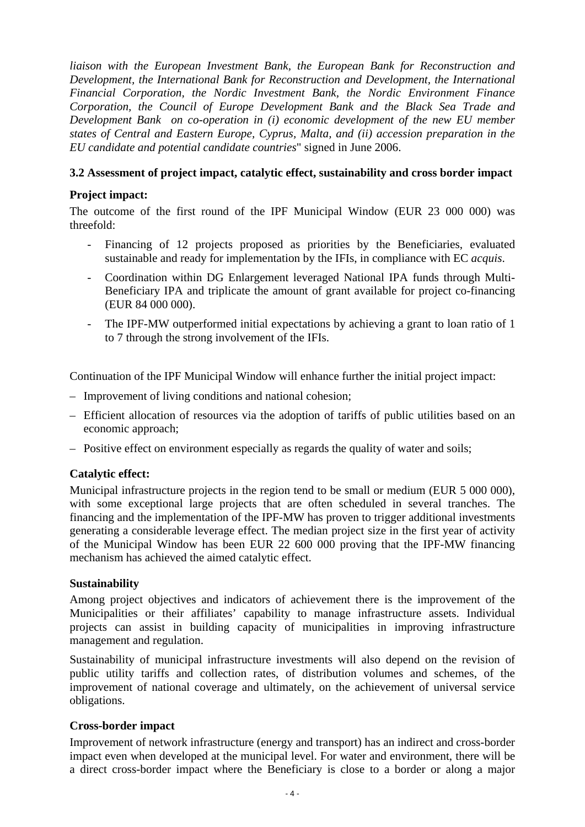*liaison with the European Investment Bank, the European Bank for Reconstruction and Development, the International Bank for Reconstruction and Development, the International Financial Corporation, the Nordic Investment Bank, the Nordic Environment Finance Corporation, the Council of Europe Development Bank and the Black Sea Trade and Development Bank on co-operation in (i) economic development of the new EU member states of Central and Eastern Europe, Cyprus, Malta, and (ii) accession preparation in the EU candidate and potential candidate countries*" signed in June 2006.

# **3.2 Assessment of project impact, catalytic effect, sustainability and cross border impact**

# **Project impact:**

The outcome of the first round of the IPF Municipal Window (EUR 23 000 000) was threefold:

- Financing of 12 projects proposed as priorities by the Beneficiaries, evaluated sustainable and ready for implementation by the IFIs, in compliance with EC *acquis*.
- Coordination within DG Enlargement leveraged National IPA funds through Multi-Beneficiary IPA and triplicate the amount of grant available for project co-financing (EUR 84 000 000).
- The IPF-MW outperformed initial expectations by achieving a grant to loan ratio of 1 to 7 through the strong involvement of the IFIs.

Continuation of the IPF Municipal Window will enhance further the initial project impact:

- Improvement of living conditions and national cohesion;
- Efficient allocation of resources via the adoption of tariffs of public utilities based on an economic approach;
- Positive effect on environment especially as regards the quality of water and soils;

# **Catalytic effect:**

Municipal infrastructure projects in the region tend to be small or medium (EUR 5 000 000), with some exceptional large projects that are often scheduled in several tranches. The financing and the implementation of the IPF-MW has proven to trigger additional investments generating a considerable leverage effect. The median project size in the first year of activity of the Municipal Window has been EUR 22 600 000 proving that the IPF-MW financing mechanism has achieved the aimed catalytic effect.

# **Sustainability**

Among project objectives and indicators of achievement there is the improvement of the Municipalities or their affiliates' capability to manage infrastructure assets. Individual projects can assist in building capacity of municipalities in improving infrastructure management and regulation.

Sustainability of municipal infrastructure investments will also depend on the revision of public utility tariffs and collection rates, of distribution volumes and schemes, of the improvement of national coverage and ultimately, on the achievement of universal service obligations.

# **Cross-border impact**

Improvement of network infrastructure (energy and transport) has an indirect and cross-border impact even when developed at the municipal level. For water and environment, there will be a direct cross-border impact where the Beneficiary is close to a border or along a major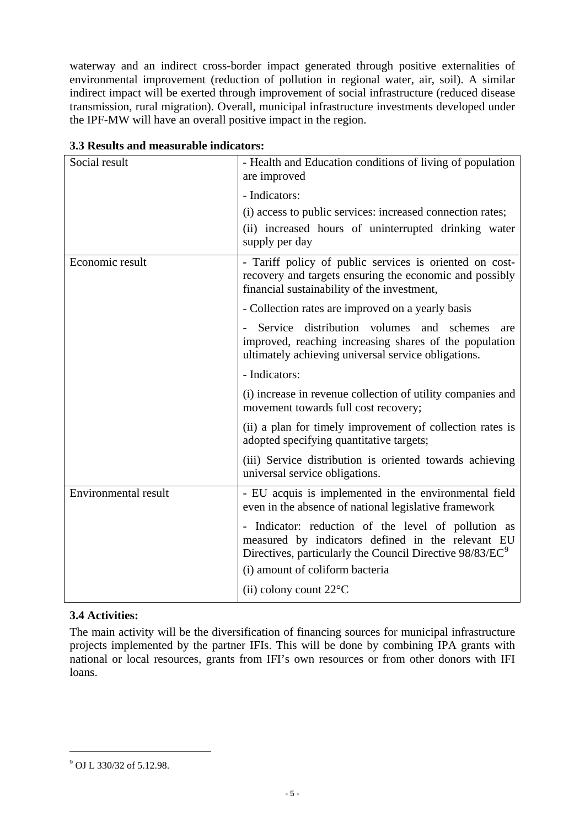waterway and an indirect cross-border impact generated through positive externalities of environmental improvement (reduction of pollution in regional water, air, soil). A similar indirect impact will be exerted through improvement of social infrastructure (reduced disease transmission, rural migration). Overall, municipal infrastructure investments developed under the IPF-MW will have an overall positive impact in the region.

| Social result               | - Health and Education conditions of living of population<br>are improved                                                                                                        |
|-----------------------------|----------------------------------------------------------------------------------------------------------------------------------------------------------------------------------|
|                             | - Indicators:                                                                                                                                                                    |
|                             | (i) access to public services: increased connection rates;                                                                                                                       |
|                             | (ii) increased hours of uninterrupted drinking water<br>supply per day                                                                                                           |
| Economic result             | - Tariff policy of public services is oriented on cost-<br>recovery and targets ensuring the economic and possibly<br>financial sustainability of the investment,                |
|                             | - Collection rates are improved on a yearly basis                                                                                                                                |
|                             | Service distribution volumes<br>and schemes<br>are<br>improved, reaching increasing shares of the population<br>ultimately achieving universal service obligations.              |
|                             | - Indicators:                                                                                                                                                                    |
|                             | (i) increase in revenue collection of utility companies and<br>movement towards full cost recovery;                                                                              |
|                             | (ii) a plan for timely improvement of collection rates is<br>adopted specifying quantitative targets;                                                                            |
|                             | (iii) Service distribution is oriented towards achieving<br>universal service obligations.                                                                                       |
| <b>Environmental result</b> | - EU acquis is implemented in the environmental field<br>even in the absence of national legislative framework                                                                   |
|                             | - Indicator: reduction of the level of pollution as<br>measured by indicators defined in the relevant EU<br>Directives, particularly the Council Directive 98/83/EC <sup>9</sup> |
|                             | (i) amount of coliform bacteria                                                                                                                                                  |
|                             | (ii) colony count $22^{\circ}$ C                                                                                                                                                 |

**3.3 Results and measurable indicators:** 

# **3.4 Activities:**

The main activity will be the diversification of financing sources for municipal infrastructure projects implemented by the partner IFIs. This will be done by combining IPA grants with national or local resources, grants from IFI's own resources or from other donors with IFI loans.

1

<span id="page-4-0"></span><sup>&</sup>lt;sup>9</sup> OJ L 330/32 of 5.12.98.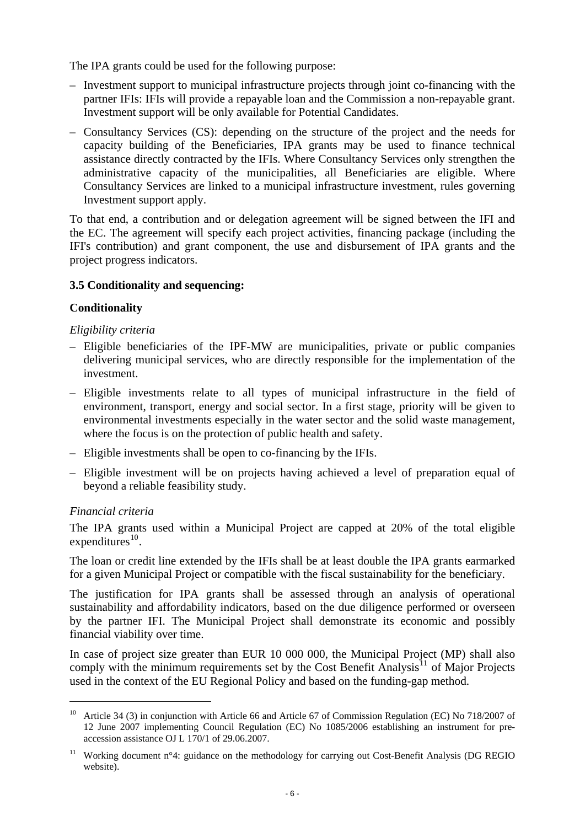<span id="page-5-0"></span>The IPA grants could be used for the following purpose:

- Investment support to municipal infrastructure projects through joint co-financing with the partner IFIs: IFIs will provide a repayable loan and the Commission a non-repayable grant. Investment support will be only available for Potential Candidates.
- Consultancy Services (CS): depending on the structure of the project and the needs for capacity building of the Beneficiaries, IPA grants may be used to finance technical assistance directly contracted by the IFIs. Where Consultancy Services only strengthen the administrative capacity of the municipalities, all Beneficiaries are eligible. Where Consultancy Services are linked to a municipal infrastructure investment, rules governing Investment support apply.

To that end, a contribution and or delegation agreement will be signed between the IFI and the EC. The agreement will specify each project activities, financing package (including the IFI's contribution) and grant component, the use and disbursement of IPA grants and the project progress indicators.

# **3.5 Conditionality and sequencing:**

#### **Conditionality**

#### *Eligibility criteria*

- Eligible beneficiaries of the IPF-MW are municipalities, private or public companies delivering municipal services, who are directly responsible for the implementation of the investment.
- Eligible investments relate to all types of municipal infrastructure in the field of environment, transport, energy and social sector. In a first stage, priority will be given to environmental investments especially in the water sector and the solid waste management, where the focus is on the protection of public health and safety.
- Eligible investments shall be open to co-financing by the IFIs.
- Eligible investment will be on projects having achieved a level of preparation equal of beyond a reliable feasibility study.

# *Financial criteria*

1

The IPA grants used within a Municipal Project are capped at 20% of the total eligible  $expenditures<sup>10</sup>$  $expenditures<sup>10</sup>$  $expenditures<sup>10</sup>$ .

The loan or credit line extended by the IFIs shall be at least double the IPA grants earmarked for a given Municipal Project or compatible with the fiscal sustainability for the beneficiary.

The justification for IPA grants shall be assessed through an analysis of operational sustainability and affordability indicators, based on the due diligence performed or overseen by the partner IFI. The Municipal Project shall demonstrate its economic and possibly financial viability over time.

In case of project size greater than EUR 10 000 000, the Municipal Project (MP) shall also comply with the minimum requirements set by the Cost Benefit Analysis<sup>[11](#page-5-0)</sup> of Major Projects used in the context of the EU Regional Policy and based on the funding-gap method.

<sup>&</sup>lt;sup>10</sup> Article 34 (3) in conjunction with Article 66 and Article 67 of Commission Regulation (EC) No 718/2007 of 12 June 2007 implementing Council Regulation (EC) No 1085/2006 establishing an instrument for preaccession assistance OJ L 170/1 of 29.06.2007.

<sup>&</sup>lt;sup>11</sup> Working document n°4: guidance on the methodology for carrying out Cost-Benefit Analysis (DG REGIO website).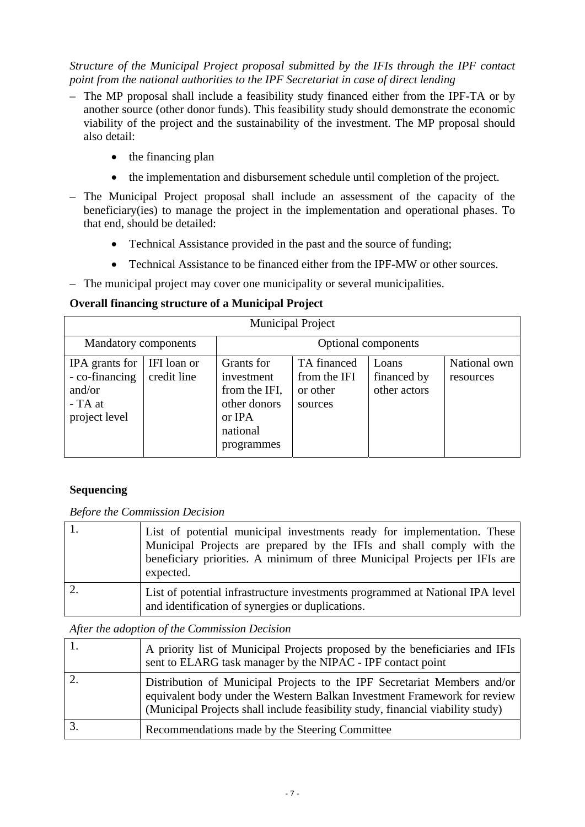*Structure of the Municipal Project proposal submitted by the IFIs through the IPF contact point from the national authorities to the IPF Secretariat in case of direct lending* 

- The MP proposal shall include a feasibility study financed either from the IPF-TA or by another source (other donor funds). This feasibility study should demonstrate the economic viability of the project and the sustainability of the investment. The MP proposal should also detail:
	- the financing plan
	- the implementation and disbursement schedule until completion of the project.
- The Municipal Project proposal shall include an assessment of the capacity of the beneficiary(ies) to manage the project in the implementation and operational phases. To that end, should be detailed:
	- Technical Assistance provided in the past and the source of funding;
	- Technical Assistance to be financed either from the IPF-MW or other sources.
- The municipal project may cover one municipality or several municipalities.

# **Overall financing structure of a Municipal Project**

| <b>Municipal Project</b>                                               |                            |                                                                                               |                                                    |                                      |                           |  |  |
|------------------------------------------------------------------------|----------------------------|-----------------------------------------------------------------------------------------------|----------------------------------------------------|--------------------------------------|---------------------------|--|--|
| Mandatory components<br>Optional components                            |                            |                                                                                               |                                                    |                                      |                           |  |  |
| IPA grants for<br>- co-financing<br>and/or<br>- TA at<br>project level | IFI loan or<br>credit line | Grants for<br>investment<br>from the IFI,<br>other donors<br>or IPA<br>national<br>programmes | TA financed<br>from the IFI<br>or other<br>sources | Loans<br>financed by<br>other actors | National own<br>resources |  |  |

# **Sequencing**

*Before the Commission Decision* 

| List of potential municipal investments ready for implementation. These<br>Municipal Projects are prepared by the IFIs and shall comply with the<br>beneficiary priorities. A minimum of three Municipal Projects per IFIs are<br>expected. |
|---------------------------------------------------------------------------------------------------------------------------------------------------------------------------------------------------------------------------------------------|
| List of potential infrastructure investments programmed at National IPA level<br>and identification of synergies or duplications.                                                                                                           |

# *After the adoption of the Commission Decision*

| A priority list of Municipal Projects proposed by the beneficiaries and IFIs<br>sent to ELARG task manager by the NIPAC - IPF contact point                                                                                             |
|-----------------------------------------------------------------------------------------------------------------------------------------------------------------------------------------------------------------------------------------|
| Distribution of Municipal Projects to the IPF Secretariat Members and/or<br>equivalent body under the Western Balkan Investment Framework for review<br>(Municipal Projects shall include feasibility study, financial viability study) |
| Recommendations made by the Steering Committee                                                                                                                                                                                          |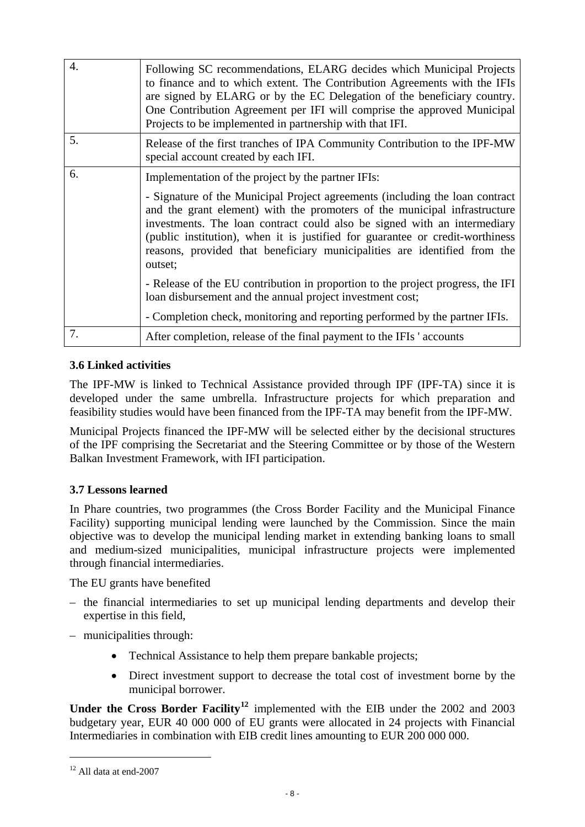<span id="page-7-0"></span>

| $\overline{4}$ . | Following SC recommendations, ELARG decides which Municipal Projects<br>to finance and to which extent. The Contribution Agreements with the IFIs<br>are signed by ELARG or by the EC Delegation of the beneficiary country.<br>One Contribution Agreement per IFI will comprise the approved Municipal<br>Projects to be implemented in partnership with that IFI.                                             |
|------------------|-----------------------------------------------------------------------------------------------------------------------------------------------------------------------------------------------------------------------------------------------------------------------------------------------------------------------------------------------------------------------------------------------------------------|
| 5.               | Release of the first tranches of IPA Community Contribution to the IPF-MW<br>special account created by each IFI.                                                                                                                                                                                                                                                                                               |
| 6.               | Implementation of the project by the partner IFIs:                                                                                                                                                                                                                                                                                                                                                              |
|                  | - Signature of the Municipal Project agreements (including the loan contract)<br>and the grant element) with the promoters of the municipal infrastructure<br>investments. The loan contract could also be signed with an intermediary<br>(public institution), when it is justified for guarantee or credit-worthiness<br>reasons, provided that beneficiary municipalities are identified from the<br>outset; |
|                  | - Release of the EU contribution in proportion to the project progress, the IFI<br>loan disbursement and the annual project investment cost;                                                                                                                                                                                                                                                                    |
|                  | - Completion check, monitoring and reporting performed by the partner IFIs.                                                                                                                                                                                                                                                                                                                                     |
| 7.               | After completion, release of the final payment to the IFIs ' accounts                                                                                                                                                                                                                                                                                                                                           |

# **3.6 Linked activities**

The IPF-MW is linked to Technical Assistance provided through IPF (IPF-TA) since it is developed under the same umbrella. Infrastructure projects for which preparation and feasibility studies would have been financed from the IPF-TA may benefit from the IPF-MW.

Municipal Projects financed the IPF-MW will be selected either by the decisional structures of the IPF comprising the Secretariat and the Steering Committee or by those of the Western Balkan Investment Framework, with IFI participation.

# **3.7 Lessons learned**

In Phare countries, two programmes (the Cross Border Facility and the Municipal Finance Facility) supporting municipal lending were launched by the Commission. Since the main objective was to develop the municipal lending market in extending banking loans to small and medium-sized municipalities, municipal infrastructure projects were implemented through financial intermediaries.

The EU grants have benefited

- the financial intermediaries to set up municipal lending departments and develop their expertise in this field,
- municipalities through:
	- Technical Assistance to help them prepare bankable projects;
	- Direct investment support to decrease the total cost of investment borne by the municipal borrower.

**Under the Cross Border Facility[12](#page-7-0)** implemented with the EIB under the 2002 and 2003 budgetary year, EUR 40 000 000 of EU grants were allocated in 24 projects with Financial Intermediaries in combination with EIB credit lines amounting to EUR 200 000 000.

1

 $12$  All data at end-2007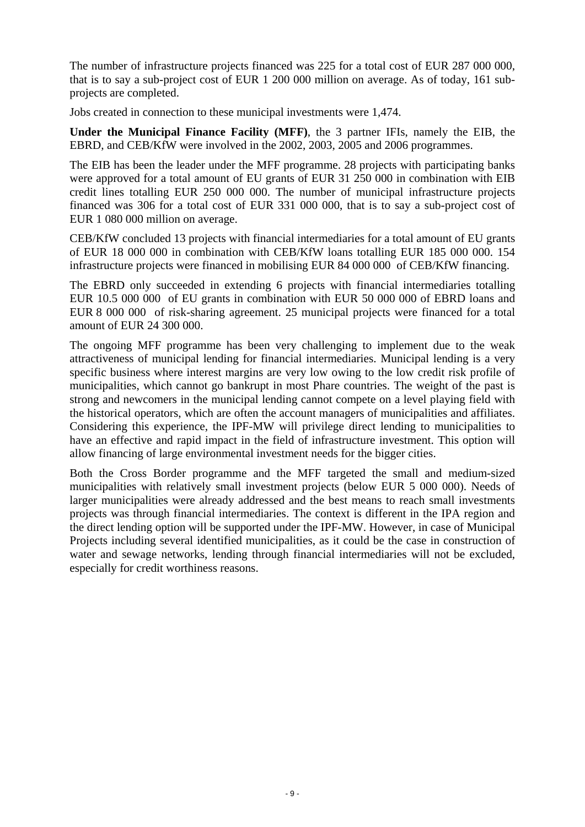The number of infrastructure projects financed was 225 for a total cost of EUR 287 000 000, that is to say a sub-project cost of EUR 1 200 000 million on average. As of today, 161 subprojects are completed.

Jobs created in connection to these municipal investments were 1,474.

**Under the Municipal Finance Facility (MFF)**, the 3 partner IFIs, namely the EIB, the EBRD, and CEB/KfW were involved in the 2002, 2003, 2005 and 2006 programmes.

The EIB has been the leader under the MFF programme. 28 projects with participating banks were approved for a total amount of EU grants of EUR 31 250 000 in combination with EIB credit lines totalling EUR 250 000 000. The number of municipal infrastructure projects financed was 306 for a total cost of EUR 331 000 000, that is to say a sub-project cost of EUR 1 080 000 million on average.

CEB/KfW concluded 13 projects with financial intermediaries for a total amount of EU grants of EUR 18 000 000 in combination with CEB/KfW loans totalling EUR 185 000 000. 154 infrastructure projects were financed in mobilising EUR 84 000 000 of CEB/KfW financing.

The EBRD only succeeded in extending 6 projects with financial intermediaries totalling EUR 10.5 000 000 of EU grants in combination with EUR 50 000 000 of EBRD loans and EUR 8 000 000 of risk-sharing agreement. 25 municipal projects were financed for a total amount of EUR 24 300 000.

The ongoing MFF programme has been very challenging to implement due to the weak attractiveness of municipal lending for financial intermediaries. Municipal lending is a very specific business where interest margins are very low owing to the low credit risk profile of municipalities, which cannot go bankrupt in most Phare countries. The weight of the past is strong and newcomers in the municipal lending cannot compete on a level playing field with the historical operators, which are often the account managers of municipalities and affiliates. Considering this experience, the IPF-MW will privilege direct lending to municipalities to have an effective and rapid impact in the field of infrastructure investment. This option will allow financing of large environmental investment needs for the bigger cities.

Both the Cross Border programme and the MFF targeted the small and medium-sized municipalities with relatively small investment projects (below EUR 5 000 000). Needs of larger municipalities were already addressed and the best means to reach small investments projects was through financial intermediaries. The context is different in the IPA region and the direct lending option will be supported under the IPF-MW. However, in case of Municipal Projects including several identified municipalities, as it could be the case in construction of water and sewage networks, lending through financial intermediaries will not be excluded, especially for credit worthiness reasons.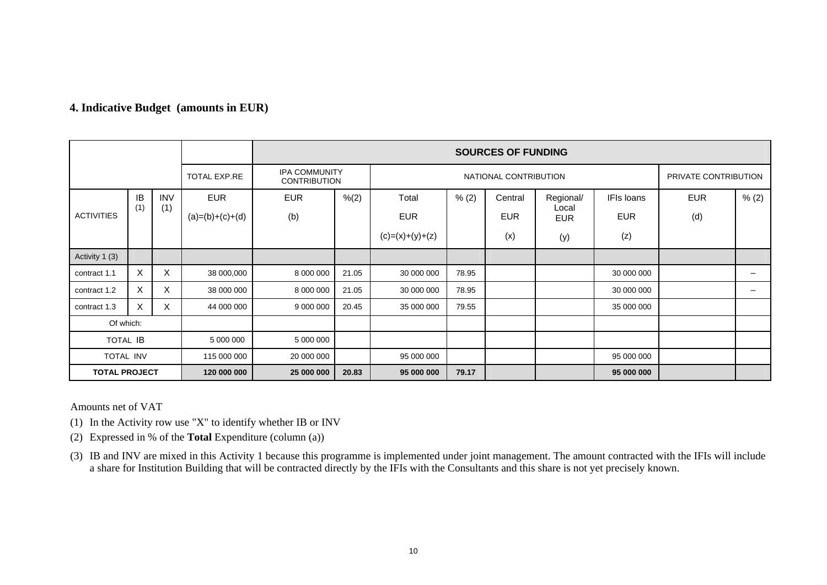|                      |     |            | <b>SOURCES OF FUNDING</b>                   |                          |       |                       |            |            |                      |            |            |       |
|----------------------|-----|------------|---------------------------------------------|--------------------------|-------|-----------------------|------------|------------|----------------------|------------|------------|-------|
| TOTAL EXP.RE         |     |            | <b>IPA COMMUNITY</b><br><b>CONTRIBUTION</b> |                          |       | NATIONAL CONTRIBUTION |            |            | PRIVATE CONTRIBUTION |            |            |       |
| IB                   |     | <b>INV</b> | <b>EUR</b>                                  | <b>EUR</b>               | % (2) | Total                 | % (2)      | Central    | Regional/            | IFIs loans | <b>EUR</b> | % (2) |
| <b>ACTIVITIES</b>    | (1) | (1)        | $(a)=(b)+(c)+(d)$                           | (b)                      |       | <b>EUR</b>            |            | <b>EUR</b> | Local<br><b>EUR</b>  | <b>EUR</b> | (d)        |       |
|                      |     |            |                                             |                          |       | $(c)=(x)+(y)+(z)$     |            | (x)        | (y)                  | (z)        |            |       |
| Activity 1 (3)       |     |            |                                             |                          |       |                       |            |            |                      |            |            |       |
| contract 1.1         | X   | X          | 38 000,000                                  | 8 000 000                | 21.05 | 30 000 000            | 78.95      |            |                      | 30 000 000 |            |       |
| contract 1.2         | X   | X          | 38 000 000                                  | 8 000 000                | 21.05 | 30 000 000            | 78.95      |            |                      | 30 000 000 |            |       |
| contract 1.3         | X   | X          | 44 000 000                                  | 9 000 000                | 20.45 | 35 000 000            | 79.55      |            |                      | 35 000 000 |            |       |
| Of which:            |     |            |                                             |                          |       |                       |            |            |                      |            |            |       |
| <b>TOTAL IB</b>      |     |            | 5 000 000                                   | 5 000 000                |       |                       |            |            |                      |            |            |       |
| TOTAL INV            |     |            | 115 000 000                                 | 20 000 000<br>95 000 000 |       |                       | 95 000 000 |            |                      |            |            |       |
| <b>TOTAL PROJECT</b> |     |            | 120 000 000                                 | 25 000 000               | 20.83 | 95 000 000            | 79.17      |            |                      | 95 000 000 |            |       |

# **4. Indicative Budget (amounts in EUR)**

Amounts net of VAT

(1) In the Activity row use "X" to identify whether IB or INV

(2) Expressed in % of the **Total** Expenditure (column (a))

(3) IB and INV are mixed in this Activity 1 because this programme is implemented under joint management. The amount contracted with the IFIs will include a share for Institution Building that will be contracted directly by the IFIs with the Consultants and this share is not yet precisely known.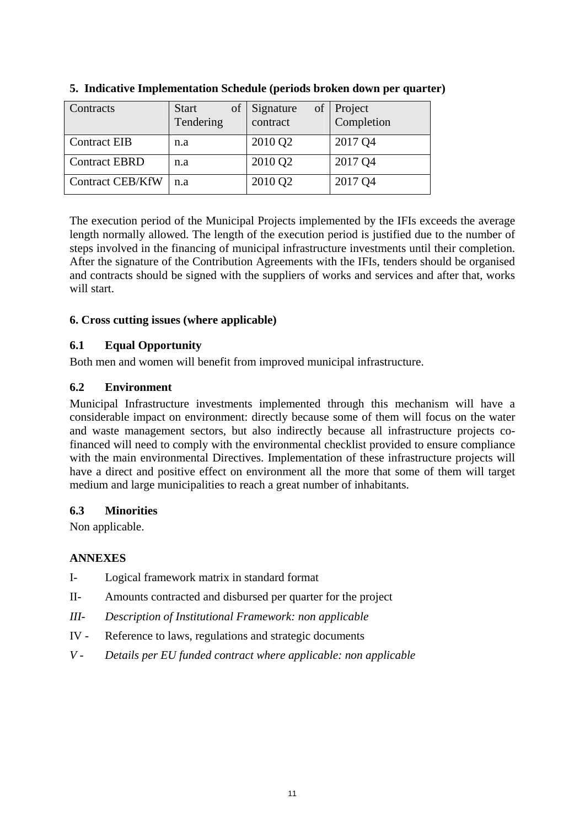| <b>Contracts</b>        | of<br><b>Start</b><br>Tendering | of<br>Signature<br>contract | <b>Project</b><br>Completion |
|-------------------------|---------------------------------|-----------------------------|------------------------------|
| <b>Contract EIB</b>     | n.a                             | 2010 Q <sub>2</sub>         | 2017 Q4                      |
| <b>Contract EBRD</b>    | n.a                             | 2010 Q2                     | 2017 Q4                      |
| <b>Contract CEB/KfW</b> | n.a                             | 2010 Q2                     | 2017 Q4                      |

**5. Indicative Implementation Schedule (periods broken down per quarter)** 

The execution period of the Municipal Projects implemented by the IFIs exceeds the average length normally allowed. The length of the execution period is justified due to the number of steps involved in the financing of municipal infrastructure investments until their completion. After the signature of the Contribution Agreements with the IFIs, tenders should be organised and contracts should be signed with the suppliers of works and services and after that, works will start.

# **6. Cross cutting issues (where applicable)**

# **6.1 Equal Opportunity**

Both men and women will benefit from improved municipal infrastructure.

# **6.2 Environment**

Municipal Infrastructure investments implemented through this mechanism will have a considerable impact on environment: directly because some of them will focus on the water and waste management sectors, but also indirectly because all infrastructure projects cofinanced will need to comply with the environmental checklist provided to ensure compliance with the main environmental Directives. Implementation of these infrastructure projects will have a direct and positive effect on environment all the more that some of them will target medium and large municipalities to reach a great number of inhabitants.

# **6.3 Minorities**

Non applicable.

# **ANNEXES**

- I- Logical framework matrix in standard format
- II- Amounts contracted and disbursed per quarter for the project
- *III- Description of Institutional Framework: non applicable*
- IV Reference to laws, regulations and strategic documents
- *V Details per EU funded contract where applicable: non applicable*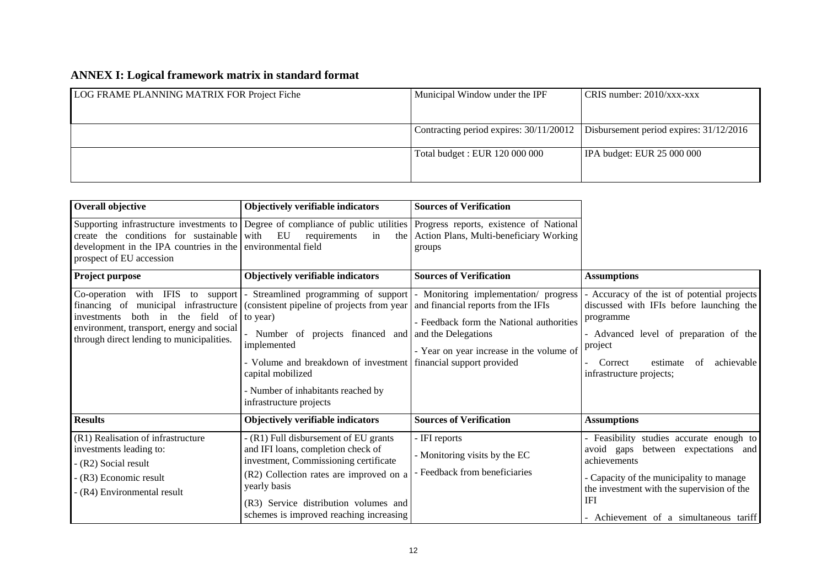# **ANNEX I: Logical framework matrix in standard format**

| LOG FRAME PLANNING MATRIX FOR Project Fiche | Municipal Window under the IPF          | $CRIS$ number: 2010/xxx-xxx               |
|---------------------------------------------|-----------------------------------------|-------------------------------------------|
|                                             |                                         |                                           |
|                                             | Contracting period expires: 30/11/20012 | Disbursement period expires: $31/12/2016$ |
|                                             | Total budget : EUR 120 000 000          | IPA budget: EUR 25 000 000                |
|                                             |                                         |                                           |

| Overall objective                                                                                                                                                                                              | Objectively verifiable indicators                                                                                                                                                                                                                                                                                                              | <b>Sources of Verification</b>                                                                                                                                   |                                                                                                                                                                                                                                  |
|----------------------------------------------------------------------------------------------------------------------------------------------------------------------------------------------------------------|------------------------------------------------------------------------------------------------------------------------------------------------------------------------------------------------------------------------------------------------------------------------------------------------------------------------------------------------|------------------------------------------------------------------------------------------------------------------------------------------------------------------|----------------------------------------------------------------------------------------------------------------------------------------------------------------------------------------------------------------------------------|
| create the conditions for sustainable<br>development in the IPA countries in the<br>prospect of EU accession                                                                                                   | Supporting infrastructure investments to Degree of compliance of public utilities Progress reports, existence of National<br>EU<br>with<br>requirements<br>in<br>environmental field                                                                                                                                                           | the Action Plans, Multi-beneficiary Working<br>groups                                                                                                            |                                                                                                                                                                                                                                  |
| Project purpose                                                                                                                                                                                                | Objectively verifiable indicators                                                                                                                                                                                                                                                                                                              | <b>Sources of Verification</b>                                                                                                                                   | <b>Assumptions</b>                                                                                                                                                                                                               |
| Co-operation with IFIS<br>to support<br>financing of municipal infrastructure<br>both in the field of<br>investments<br>environment, transport, energy and social<br>through direct lending to municipalities. | $\blacksquare$<br>(consistent pipeline of projects from year) and financial reports from the IFIs<br>to year)<br>- Number of projects financed and and the Delegations<br>implemented<br>- Volume and breakdown of investment financial support provided<br>capital mobilized<br>- Number of inhabitants reached by<br>infrastructure projects | Streamlined programming of support   Monitoring implementation/ progress<br>- Feedback form the National authorities<br>- Year on year increase in the volume of | - Accuracy of the ist of potential projects<br>discussed with IFIs before launching the<br>programme<br>- Advanced level of preparation of the<br>project<br>estimate<br>of<br>achievable<br>Correct<br>infrastructure projects; |
| <b>Results</b>                                                                                                                                                                                                 | Objectively verifiable indicators                                                                                                                                                                                                                                                                                                              | <b>Sources of Verification</b>                                                                                                                                   | <b>Assumptions</b>                                                                                                                                                                                                               |
| (R1) Realisation of infrastructure<br>investments leading to:<br>- (R2) Social result<br>(R3) Economic result<br>(R4) Environmental result                                                                     | - (R1) Full disbursement of EU grants<br>and IFI loans, completion check of<br>investment, Commissioning certificate<br>(R2) Collection rates are improved on a<br>yearly basis<br>(R3) Service distribution volumes and                                                                                                                       | - IFI reports<br>- Monitoring visits by the EC<br>Feedback from beneficiaries                                                                                    | - Feasibility studies accurate enough to<br>between expectations and<br>avoid gaps<br>achievements<br>- Capacity of the municipality to manage<br>the investment with the supervision of the<br>IFI                              |
|                                                                                                                                                                                                                | schemes is improved reaching increasing                                                                                                                                                                                                                                                                                                        |                                                                                                                                                                  | - Achievement of a simultaneous tariff                                                                                                                                                                                           |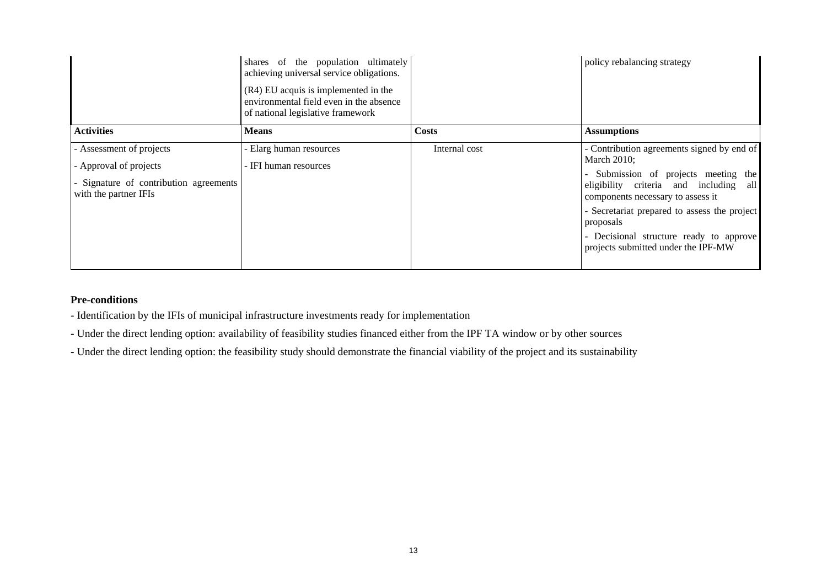|                                                                                                                       | shares of the population ultimately<br>achieving universal service obligations.<br>(R4) EU acquis is implemented in the<br>environmental field even in the absence<br>of national legislative framework |               | policy rebalancing strategy                                                                                                                                                                                                                                                                                                     |
|-----------------------------------------------------------------------------------------------------------------------|---------------------------------------------------------------------------------------------------------------------------------------------------------------------------------------------------------|---------------|---------------------------------------------------------------------------------------------------------------------------------------------------------------------------------------------------------------------------------------------------------------------------------------------------------------------------------|
| <b>Activities</b>                                                                                                     | <b>Means</b>                                                                                                                                                                                            | <b>Costs</b>  | <b>Assumptions</b>                                                                                                                                                                                                                                                                                                              |
| - Assessment of projects<br>- Approval of projects<br>- Signature of contribution agreements<br>with the partner IFIs | - Elarg human resources<br>- IFI human resources                                                                                                                                                        | Internal cost | - Contribution agreements signed by end of<br>March 2010;<br>- Submission of projects meeting the<br>eligibility criteria and including all<br>components necessary to assess it<br>- Secretariat prepared to assess the project<br>proposals<br>- Decisional structure ready to approve<br>projects submitted under the IPF-MW |

#### **Pre-conditions**

- Identification by the IFIs of municipal infrastructure investments ready for implementation

- Under the direct lending option: availability of feasibility studies financed either from the IPF TA window or by other sources

- Under the direct lending option: the feasibility study should demonstrate the financial viability of the project and its sustainability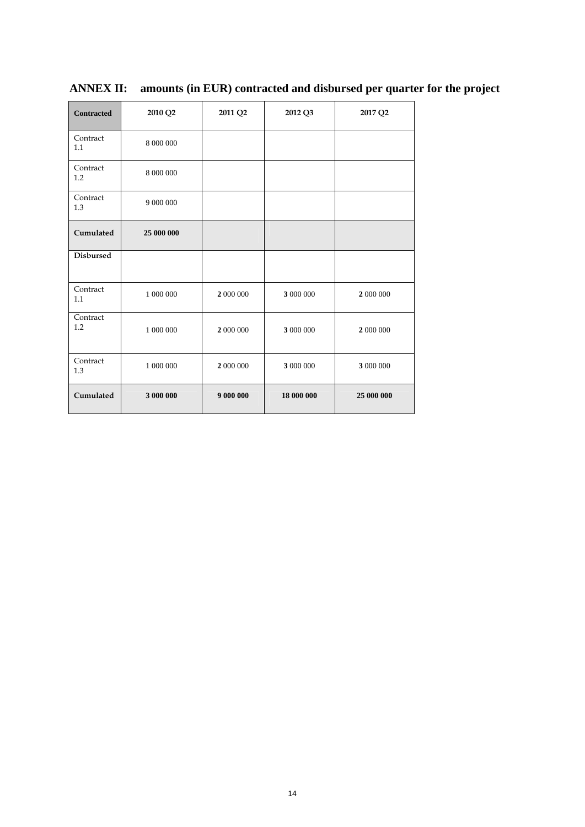| <b>Contracted</b> | 2010 Q2    | 2011 Q2   | 2012 Q3    | 2017 Q2    |
|-------------------|------------|-----------|------------|------------|
| Contract<br>1.1   | 8 000 000  |           |            |            |
| Contract<br>1.2   | 8 000 000  |           |            |            |
| Contract<br>1.3   | 9 000 000  |           |            |            |
| Cumulated         | 25 000 000 |           |            |            |
| <b>Disbursed</b>  |            |           |            |            |
| Contract<br>1.1   | 1 000 000  | 2 000 000 | 3 000 000  | 2 000 000  |
| Contract<br>1.2   | 1 000 000  | 2 000 000 | 3 000 000  | 2 000 000  |
| Contract<br>1.3   | 1 000 000  | 2 000 000 | 3 000 000  | 3 000 000  |
| Cumulated         | 3 000 000  | 9 000 000 | 18 000 000 | 25 000 000 |

**ANNEX II: amounts (in EUR) contracted and disbursed per quarter for the project**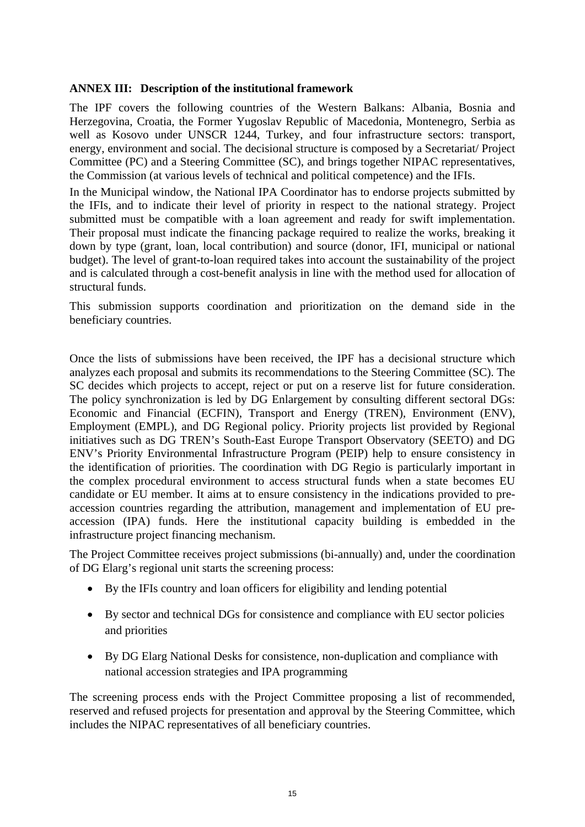# **ANNEX III: Description of the institutional framework**

The IPF covers the following countries of the Western Balkans: Albania, Bosnia and Herzegovina, Croatia, the Former Yugoslav Republic of Macedonia, Montenegro, Serbia as well as Kosovo under UNSCR 1244, Turkey, and four infrastructure sectors: transport, energy, environment and social. The decisional structure is composed by a Secretariat/ Project Committee (PC) and a Steering Committee (SC), and brings together NIPAC representatives, the Commission (at various levels of technical and political competence) and the IFIs.

In the Municipal window, the National IPA Coordinator has to endorse projects submitted by the IFIs, and to indicate their level of priority in respect to the national strategy. Project submitted must be compatible with a loan agreement and ready for swift implementation. Their proposal must indicate the financing package required to realize the works, breaking it down by type (grant, loan, local contribution) and source (donor, IFI, municipal or national budget). The level of grant-to-loan required takes into account the sustainability of the project and is calculated through a cost-benefit analysis in line with the method used for allocation of structural funds.

This submission supports coordination and prioritization on the demand side in the beneficiary countries.

Once the lists of submissions have been received, the IPF has a decisional structure which analyzes each proposal and submits its recommendations to the Steering Committee (SC). The SC decides which projects to accept, reject or put on a reserve list for future consideration. The policy synchronization is led by DG Enlargement by consulting different sectoral DGs: Economic and Financial (ECFIN), Transport and Energy (TREN), Environment (ENV), Employment (EMPL), and DG Regional policy. Priority projects list provided by Regional initiatives such as DG TREN's South-East Europe Transport Observatory (SEETO) and DG ENV's Priority Environmental Infrastructure Program (PEIP) help to ensure consistency in the identification of priorities. The coordination with DG Regio is particularly important in the complex procedural environment to access structural funds when a state becomes EU candidate or EU member. It aims at to ensure consistency in the indications provided to preaccession countries regarding the attribution, management and implementation of EU preaccession (IPA) funds. Here the institutional capacity building is embedded in the infrastructure project financing mechanism.

The Project Committee receives project submissions (bi-annually) and, under the coordination of DG Elarg's regional unit starts the screening process:

- By the IFIs country and loan officers for eligibility and lending potential
- By sector and technical DGs for consistence and compliance with EU sector policies and priorities
- By DG Elarg National Desks for consistence, non-duplication and compliance with national accession strategies and IPA programming

The screening process ends with the Project Committee proposing a list of recommended, reserved and refused projects for presentation and approval by the Steering Committee, which includes the NIPAC representatives of all beneficiary countries.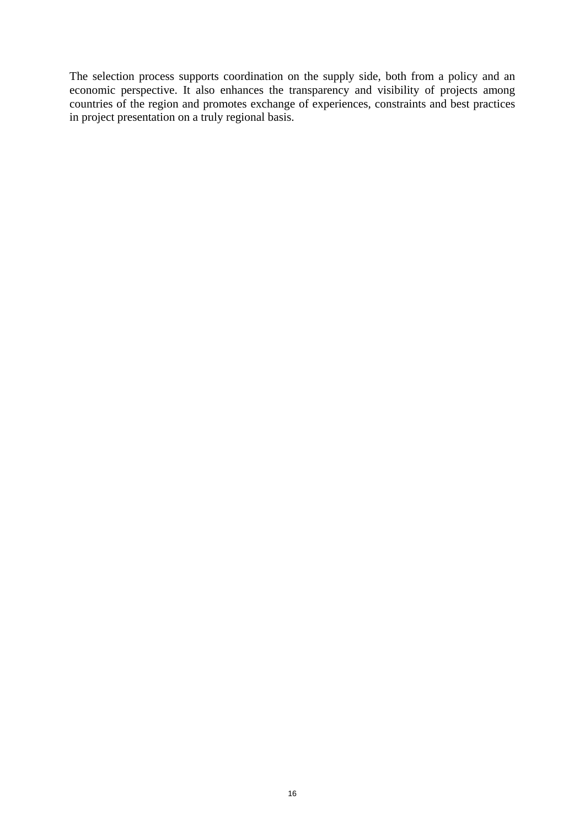The selection process supports coordination on the supply side, both from a policy and an economic perspective. It also enhances the transparency and visibility of projects among countries of the region and promotes exchange of experiences, constraints and best practices in project presentation on a truly regional basis.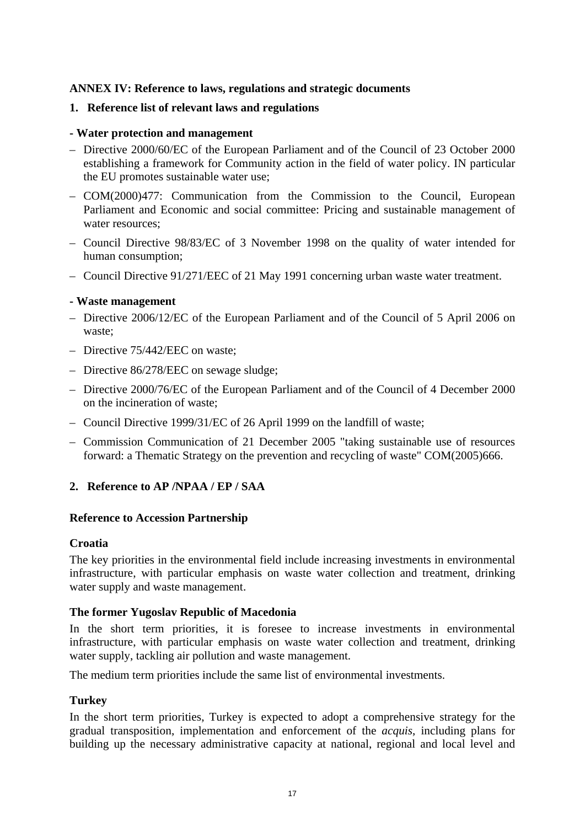# **ANNEX IV: Reference to laws, regulations and strategic documents**

#### **1. Reference list of relevant laws and regulations**

#### **- Water protection and management**

- Directive 2000/60/EC of the European Parliament and of the Council of 23 October 2000 establishing a framework for Community action in the field of water policy. IN particular the EU promotes sustainable water use;
- COM(2000)477: Communication from the Commission to the Council, European Parliament and Economic and social committee: Pricing and sustainable management of water resources;
- Council Directive 98/83/EC of 3 November 1998 on the quality of water intended for human consumption;
- Council Directive 91/271/EEC of 21 May 1991 concerning urban waste water treatment.

#### **- Waste management**

- Directive 2006/12/EC of the European Parliament and of the Council of 5 April 2006 on waste;
- Directive 75/442/EEC on waste;
- Directive 86/278/EEC on sewage sludge;
- Directive 2000/76/EC of the European Parliament and of the Council of 4 December 2000 on the incineration of waste;
- Council Directive 1999/31/EC of 26 April 1999 on the landfill of waste;
- Commission Communication of 21 December 2005 "taking sustainable use of resources forward: a Thematic Strategy on the prevention and recycling of waste" COM(2005)666.

# **2. Reference to AP /NPAA / EP / SAA**

#### **Reference to Accession Partnership**

#### **Croatia**

The key priorities in the environmental field include increasing investments in environmental infrastructure, with particular emphasis on waste water collection and treatment, drinking water supply and waste management.

#### **The former Yugoslav Republic of Macedonia**

In the short term priorities, it is foresee to increase investments in environmental infrastructure, with particular emphasis on waste water collection and treatment, drinking water supply, tackling air pollution and waste management.

The medium term priorities include the same list of environmental investments.

#### **Turkey**

In the short term priorities, Turkey is expected to adopt a comprehensive strategy for the gradual transposition, implementation and enforcement of the *acquis*, including plans for building up the necessary administrative capacity at national, regional and local level and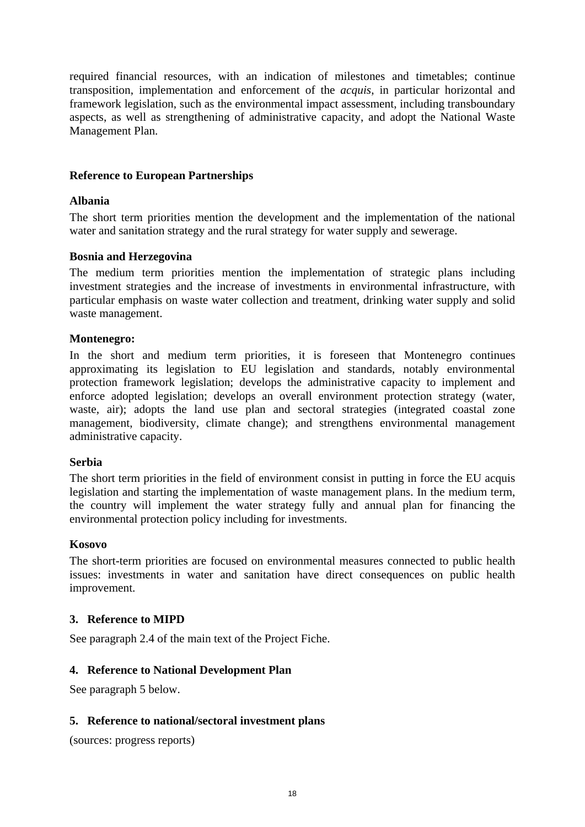required financial resources, with an indication of milestones and timetables; continue transposition, implementation and enforcement of the *acquis*, in particular horizontal and framework legislation, such as the environmental impact assessment, including transboundary aspects, as well as strengthening of administrative capacity, and adopt the National Waste Management Plan.

#### **Reference to European Partnerships**

#### **Albania**

The short term priorities mention the development and the implementation of the national water and sanitation strategy and the rural strategy for water supply and sewerage.

#### **Bosnia and Herzegovina**

The medium term priorities mention the implementation of strategic plans including investment strategies and the increase of investments in environmental infrastructure, with particular emphasis on waste water collection and treatment, drinking water supply and solid waste management.

#### **Montenegro:**

In the short and medium term priorities, it is foreseen that Montenegro continues approximating its legislation to EU legislation and standards, notably environmental protection framework legislation; develops the administrative capacity to implement and enforce adopted legislation; develops an overall environment protection strategy (water, waste, air); adopts the land use plan and sectoral strategies (integrated coastal zone management, biodiversity, climate change); and strengthens environmental management administrative capacity.

#### **Serbia**

The short term priorities in the field of environment consist in putting in force the EU acquis legislation and starting the implementation of waste management plans. In the medium term, the country will implement the water strategy fully and annual plan for financing the environmental protection policy including for investments.

#### **Kosovo**

The short-term priorities are focused on environmental measures connected to public health issues: investments in water and sanitation have direct consequences on public health improvement.

#### **3. Reference to MIPD**

See paragraph 2.4 of the main text of the Project Fiche.

# **4. Reference to National Development Plan**

See paragraph 5 below.

#### **5. Reference to national/sectoral investment plans**

(sources: progress reports)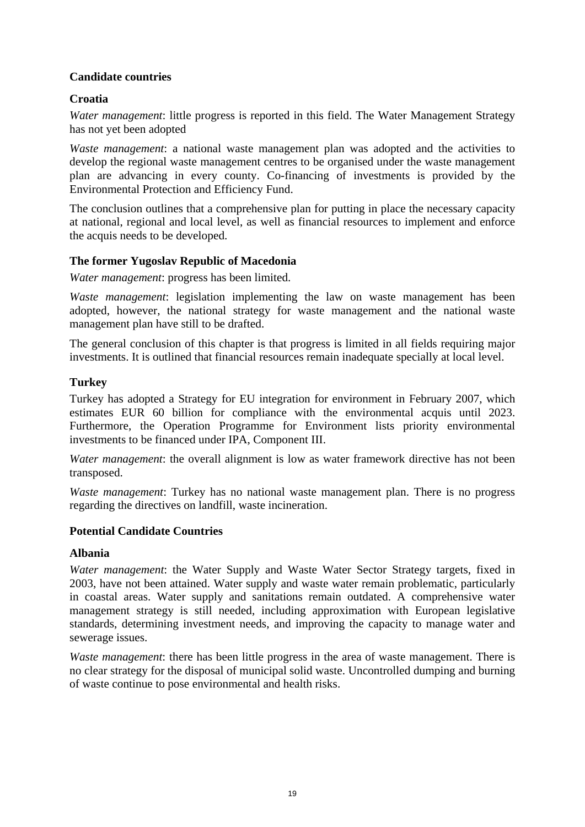# **Candidate countries**

# **Croatia**

*Water management*: little progress is reported in this field. The Water Management Strategy has not yet been adopted

*Waste management*: a national waste management plan was adopted and the activities to develop the regional waste management centres to be organised under the waste management plan are advancing in every county. Co-financing of investments is provided by the Environmental Protection and Efficiency Fund.

The conclusion outlines that a comprehensive plan for putting in place the necessary capacity at national, regional and local level, as well as financial resources to implement and enforce the acquis needs to be developed.

# **The former Yugoslav Republic of Macedonia**

*Water management*: progress has been limited.

*Waste management*: legislation implementing the law on waste management has been adopted, however, the national strategy for waste management and the national waste management plan have still to be drafted.

The general conclusion of this chapter is that progress is limited in all fields requiring major investments. It is outlined that financial resources remain inadequate specially at local level.

# **Turkey**

Turkey has adopted a Strategy for EU integration for environment in February 2007, which estimates EUR 60 billion for compliance with the environmental acquis until 2023. Furthermore, the Operation Programme for Environment lists priority environmental investments to be financed under IPA, Component III.

*Water management*: the overall alignment is low as water framework directive has not been transposed.

*Waste management*: Turkey has no national waste management plan. There is no progress regarding the directives on landfill, waste incineration.

# **Potential Candidate Countries**

#### **Albania**

*Water management*: the Water Supply and Waste Water Sector Strategy targets, fixed in 2003, have not been attained. Water supply and waste water remain problematic, particularly in coastal areas. Water supply and sanitations remain outdated. A comprehensive water management strategy is still needed, including approximation with European legislative standards, determining investment needs, and improving the capacity to manage water and sewerage issues.

*Waste management*: there has been little progress in the area of waste management. There is no clear strategy for the disposal of municipal solid waste. Uncontrolled dumping and burning of waste continue to pose environmental and health risks.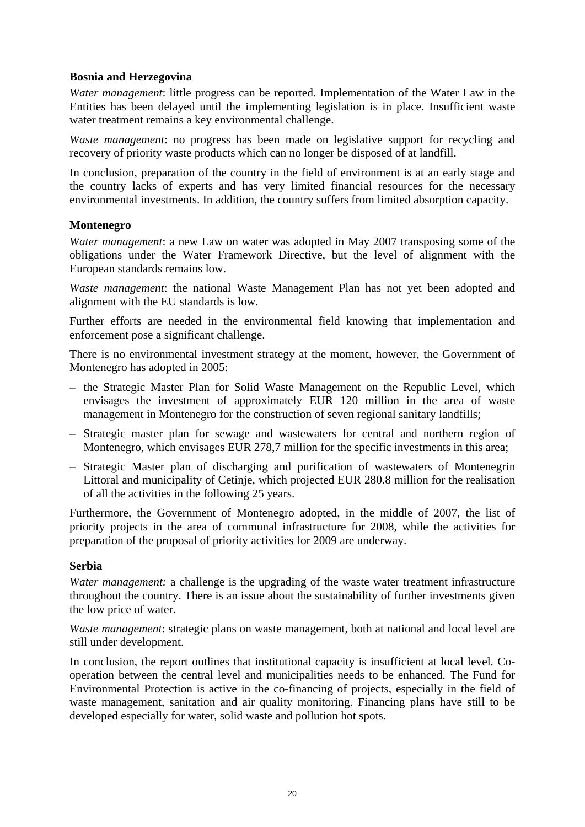#### **Bosnia and Herzegovina**

*Water management*: little progress can be reported. Implementation of the Water Law in the Entities has been delayed until the implementing legislation is in place. Insufficient waste water treatment remains a key environmental challenge.

*Waste management*: no progress has been made on legislative support for recycling and recovery of priority waste products which can no longer be disposed of at landfill.

In conclusion, preparation of the country in the field of environment is at an early stage and the country lacks of experts and has very limited financial resources for the necessary environmental investments. In addition, the country suffers from limited absorption capacity.

#### **Montenegro**

*Water management*: a new Law on water was adopted in May 2007 transposing some of the obligations under the Water Framework Directive, but the level of alignment with the European standards remains low.

*Waste management*: the national Waste Management Plan has not yet been adopted and alignment with the EU standards is low.

Further efforts are needed in the environmental field knowing that implementation and enforcement pose a significant challenge.

There is no environmental investment strategy at the moment, however, the Government of Montenegro has adopted in 2005:

- the Strategic Master Plan for Solid Waste Management on the Republic Level, which envisages the investment of approximately EUR 120 million in the area of waste management in Montenegro for the construction of seven regional sanitary landfills;
- Strategic master plan for sewage and wastewaters for central and northern region of Montenegro, which envisages EUR 278,7 million for the specific investments in this area;
- Strategic Master plan of discharging and purification of wastewaters of Montenegrin Littoral and municipality of Cetinje, which projected EUR 280.8 million for the realisation of all the activities in the following 25 years.

Furthermore, the Government of Montenegro adopted, in the middle of 2007, the list of priority projects in the area of communal infrastructure for 2008, while the activities for preparation of the proposal of priority activities for 2009 are underway.

#### **Serbia**

*Water management:* a challenge is the upgrading of the waste water treatment infrastructure throughout the country. There is an issue about the sustainability of further investments given the low price of water.

*Waste management*: strategic plans on waste management, both at national and local level are still under development.

In conclusion, the report outlines that institutional capacity is insufficient at local level. Cooperation between the central level and municipalities needs to be enhanced. The Fund for Environmental Protection is active in the co-financing of projects, especially in the field of waste management, sanitation and air quality monitoring. Financing plans have still to be developed especially for water, solid waste and pollution hot spots.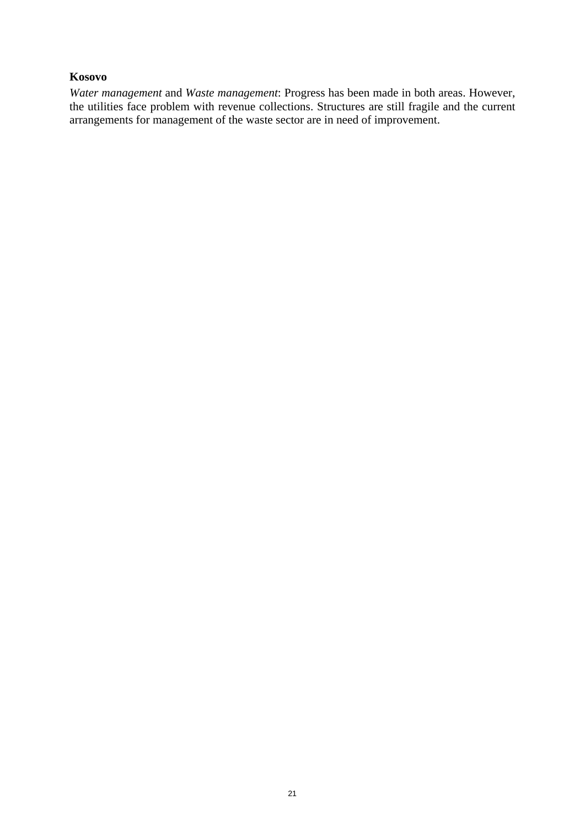#### **Kosovo**

*Water management* and *Waste management*: Progress has been made in both areas. However, the utilities face problem with revenue collections. Structures are still fragile and the current arrangements for management of the waste sector are in need of improvement.